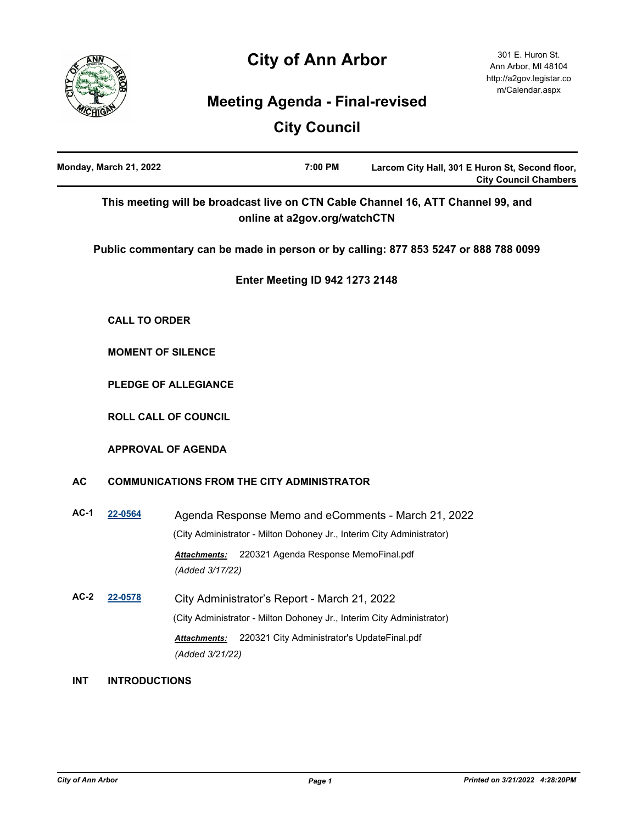# **City of Ann Arbor**



## **Meeting Agenda - Final-revised**

## **City Council**

|            | Monday, March 21, 2022                            |                                                                       | 7:00 PM                                     | Larcom City Hall, 301 E Huron St, Second floor,<br><b>City Council Chambers</b>     |
|------------|---------------------------------------------------|-----------------------------------------------------------------------|---------------------------------------------|-------------------------------------------------------------------------------------|
|            |                                                   |                                                                       | online at a2gov.org/watchCTN                | This meeting will be broadcast live on CTN Cable Channel 16, ATT Channel 99, and    |
|            |                                                   |                                                                       |                                             | Public commentary can be made in person or by calling: 877 853 5247 or 888 788 0099 |
|            |                                                   |                                                                       | <b>Enter Meeting ID 942 1273 2148</b>       |                                                                                     |
|            | <b>CALL TO ORDER</b>                              |                                                                       |                                             |                                                                                     |
|            |                                                   | <b>MOMENT OF SILENCE</b>                                              |                                             |                                                                                     |
|            |                                                   | PLEDGE OF ALLEGIANCE                                                  |                                             |                                                                                     |
|            |                                                   | <b>ROLL CALL OF COUNCIL</b>                                           |                                             |                                                                                     |
|            |                                                   | <b>APPROVAL OF AGENDA</b>                                             |                                             |                                                                                     |
| <b>AC</b>  | <b>COMMUNICATIONS FROM THE CITY ADMINISTRATOR</b> |                                                                       |                                             |                                                                                     |
| $AC-1$     | 22-0564                                           |                                                                       |                                             | Agenda Response Memo and eComments - March 21, 2022                                 |
|            |                                                   | (City Administrator - Milton Dohoney Jr., Interim City Administrator) |                                             |                                                                                     |
|            |                                                   | Attachments:<br>(Added 3/17/22)                                       | 220321 Agenda Response MemoFinal.pdf        |                                                                                     |
| $AC-2$     | 22-0578                                           | City Administrator's Report - March 21, 2022                          |                                             |                                                                                     |
|            |                                                   | (City Administrator - Milton Dohoney Jr., Interim City Administrator) |                                             |                                                                                     |
|            |                                                   | Attachments:<br>(Added 3/21/22)                                       | 220321 City Administrator's UpdateFinal.pdf |                                                                                     |
| <b>INT</b> | <b>INTRODUCTIONS</b>                              |                                                                       |                                             |                                                                                     |
|            |                                                   |                                                                       |                                             |                                                                                     |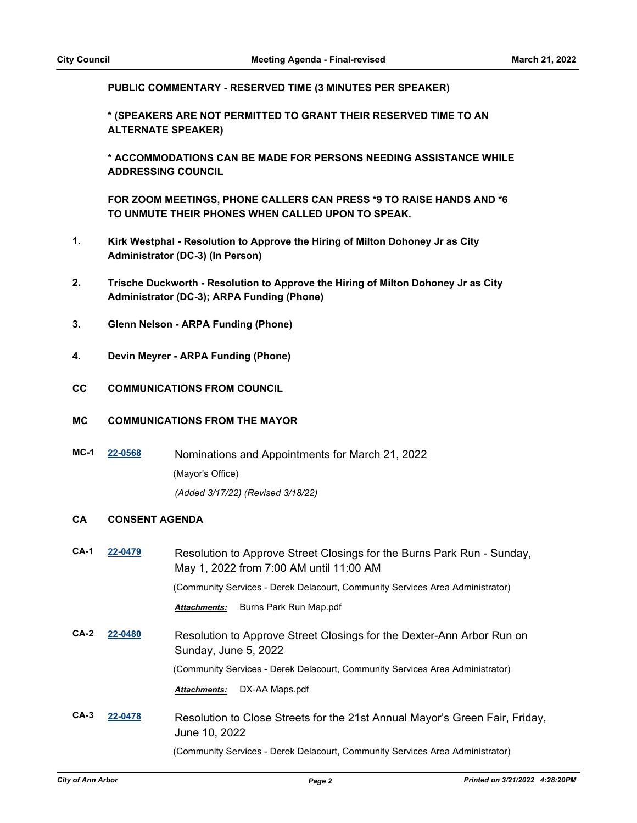**PUBLIC COMMENTARY - RESERVED TIME (3 MINUTES PER SPEAKER)**

**\* (SPEAKERS ARE NOT PERMITTED TO GRANT THEIR RESERVED TIME TO AN ALTERNATE SPEAKER)**

**\* ACCOMMODATIONS CAN BE MADE FOR PERSONS NEEDING ASSISTANCE WHILE ADDRESSING COUNCIL**

**FOR ZOOM MEETINGS, PHONE CALLERS CAN PRESS \*9 TO RAISE HANDS AND \*6 TO UNMUTE THEIR PHONES WHEN CALLED UPON TO SPEAK.**

- **1. Kirk Westphal Resolution to Approve the Hiring of Milton Dohoney Jr as City Administrator (DC-3) (In Person)**
- **2. Trische Duckworth Resolution to Approve the Hiring of Milton Dohoney Jr as City Administrator (DC-3); ARPA Funding (Phone)**
- **3. Glenn Nelson ARPA Funding (Phone)**
- **4. Devin Meyrer ARPA Funding (Phone)**
- **CC COMMUNICATIONS FROM COUNCIL**

#### **MC COMMUNICATIONS FROM THE MAYOR**

**MC-1 [22-0568](http://a2gov.legistar.com/gateway.aspx?M=L&ID=29746)** Nominations and Appointments for March 21, 2022 (Mayor's Office) *(Added 3/17/22) (Revised 3/18/22)*

#### **CA CONSENT AGENDA**

| $CA-1$ | 22-0479 | Resolution to Approve Street Closings for the Burns Park Run - Sunday,<br>May 1, 2022 from 7:00 AM until 11:00 AM |
|--------|---------|-------------------------------------------------------------------------------------------------------------------|
|        |         | (Community Services - Derek Delacourt, Community Services Area Administrator)                                     |
|        |         | Burns Park Run Map.pdf<br><b>Attachments:</b>                                                                     |
| $CA-2$ | 22-0480 | Resolution to Approve Street Closings for the Dexter-Ann Arbor Run on<br>Sunday, June 5, 2022                     |
|        |         | (Community Services - Derek Delacourt, Community Services Area Administrator)                                     |
|        |         | DX-AA Maps.pdf<br><b>Attachments:</b>                                                                             |
| $CA-3$ | 22-0478 | Resolution to Close Streets for the 21st Annual Mayor's Green Fair, Friday,<br>June 10, 2022                      |
|        |         | (Community Services - Derek Delacourt, Community Services Area Administrator)                                     |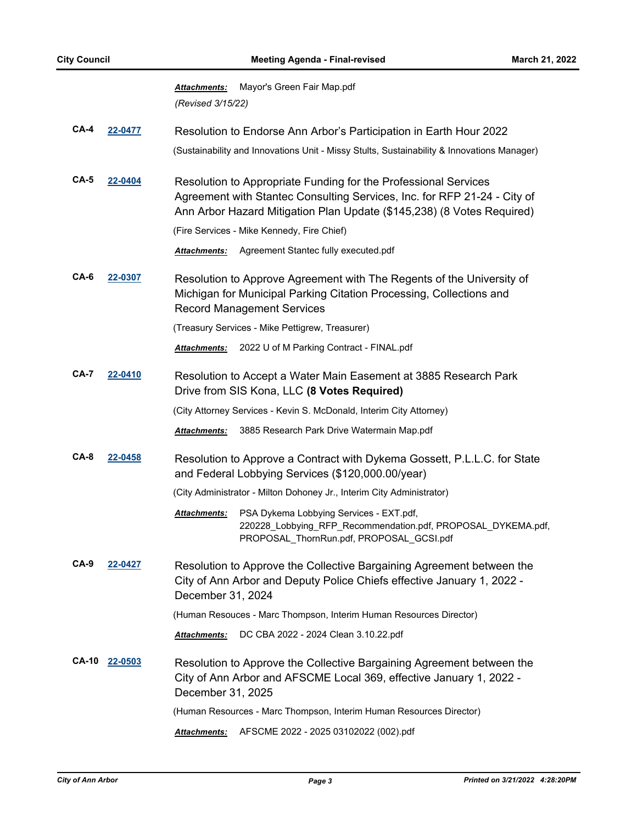| <b>Attachments:</b> | Mayor's Green Fair Map.pdf |
|---------------------|----------------------------|
| (Revised 3/15/22)   |                            |

- **CA-4 [22-0477](http://a2gov.legistar.com/gateway.aspx?M=L&ID=29661)** Resolution to Endorse Ann Arbor's Participation in Earth Hour 2022 (Sustainability and Innovations Unit - Missy Stults, Sustainability & Innovations Manager)
- **CA-5 [22-0404](http://a2gov.legistar.com/gateway.aspx?M=L&ID=29591)** Resolution to Appropriate Funding for the Professional Services Agreement with Stantec Consulting Services, Inc. for RFP 21-24 - City of Ann Arbor Hazard Mitigation Plan Update (\$145,238) (8 Votes Required)

(Fire Services - Mike Kennedy, Fire Chief)

*Attachments:* Agreement Stantec fully executed.pdf

**CA-6 [22-0307](http://a2gov.legistar.com/gateway.aspx?M=L&ID=29494)** Resolution to Approve Agreement with The Regents of the University of Michigan for Municipal Parking Citation Processing, Collections and Record Management Services

(Treasury Services - Mike Pettigrew, Treasurer)

*Attachments:* 2022 U of M Parking Contract - FINAL.pdf

**CA-7 [22-0410](http://a2gov.legistar.com/gateway.aspx?M=L&ID=29594)** Resolution to Accept a Water Main Easement at 3885 Research Park Drive from SIS Kona, LLC **(8 Votes Required)**

(City Attorney Services - Kevin S. McDonald, Interim City Attorney)

- *Attachments:* 3885 Research Park Drive Watermain Map.pdf
- **CA-8 [22-0458](http://a2gov.legistar.com/gateway.aspx?M=L&ID=29642)** Resolution to Approve a Contract with Dykema Gossett, P.L.L.C. for State and Federal Lobbying Services (\$120,000.00/year)

(City Administrator - Milton Dohoney Jr., Interim City Administrator)

- Attachments: PSA Dykema Lobbying Services EXT.pdf, 220228\_Lobbying\_RFP\_Recommendation.pdf, PROPOSAL\_DYKEMA.pdf, PROPOSAL\_ThornRun.pdf, PROPOSAL\_GCSI.pdf
- **CA-9 [22-0427](http://a2gov.legistar.com/gateway.aspx?M=L&ID=29611)** Resolution to Approve the Collective Bargaining Agreement between the City of Ann Arbor and Deputy Police Chiefs effective January 1, 2022 - December 31, 2024

(Human Resouces - Marc Thompson, Interim Human Resources Director)

*Attachments:* DC CBA 2022 - 2024 Clean 3.10.22.pdf

**CA-10 [22-0503](http://a2gov.legistar.com/gateway.aspx?M=L&ID=29681)** Resolution to Approve the Collective Bargaining Agreement between the City of Ann Arbor and AFSCME Local 369, effective January 1, 2022 - December 31, 2025

(Human Resources - Marc Thompson, Interim Human Resources Director)

*Attachments:* AFSCME 2022 - 2025 03102022 (002).pdf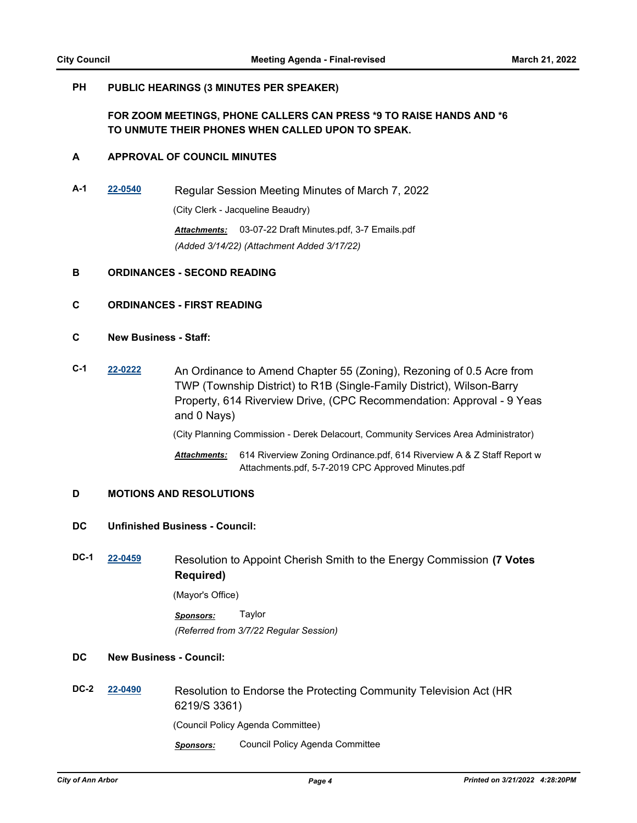#### **PH PUBLIC HEARINGS (3 MINUTES PER SPEAKER)**

## **FOR ZOOM MEETINGS, PHONE CALLERS CAN PRESS \*9 TO RAISE HANDS AND \*6 TO UNMUTE THEIR PHONES WHEN CALLED UPON TO SPEAK.**

#### **A APPROVAL OF COUNCIL MINUTES**

**A-1 [22-0540](http://a2gov.legistar.com/gateway.aspx?M=L&ID=29718)** Regular Session Meeting Minutes of March 7, 2022 (City Clerk - Jacqueline Beaudry)

> *Attachments:* 03-07-22 Draft Minutes.pdf, 3-7 Emails.pdf *(Added 3/14/22) (Attachment Added 3/17/22)*

#### **B ORDINANCES - SECOND READING**

#### **C ORDINANCES - FIRST READING**

- **C New Business Staff:**
- **C-1 [22-0222](http://a2gov.legistar.com/gateway.aspx?M=L&ID=29409)** An Ordinance to Amend Chapter 55 (Zoning), Rezoning of 0.5 Acre from TWP (Township District) to R1B (Single-Family District), Wilson-Barry Property, 614 Riverview Drive, (CPC Recommendation: Approval - 9 Yeas and 0 Nays)

(City Planning Commission - Derek Delacourt, Community Services Area Administrator)

Attachments: 614 Riverview Zoning Ordinance.pdf, 614 Riverview A & Z Staff Report w Attachments.pdf, 5-7-2019 CPC Approved Minutes.pdf

#### **D MOTIONS AND RESOLUTIONS**

#### **DC Unfinished Business - Council:**

**DC-1 [22-0459](http://a2gov.legistar.com/gateway.aspx?M=L&ID=29643)** Resolution to Appoint Cherish Smith to the Energy Commission **(7 Votes Required)**

(Mayor's Office)

*Sponsors:* Taylor *(Referred from 3/7/22 Regular Session)*

## **DC New Business - Council:**

- **DC-2 [22-0490](http://a2gov.legistar.com/gateway.aspx?M=L&ID=29674)** Resolution to Endorse the Protecting Community Television Act (HR 6219/S 3361) (Council Policy Agenda Committee)
	- *Sponsors:* Council Policy Agenda Committee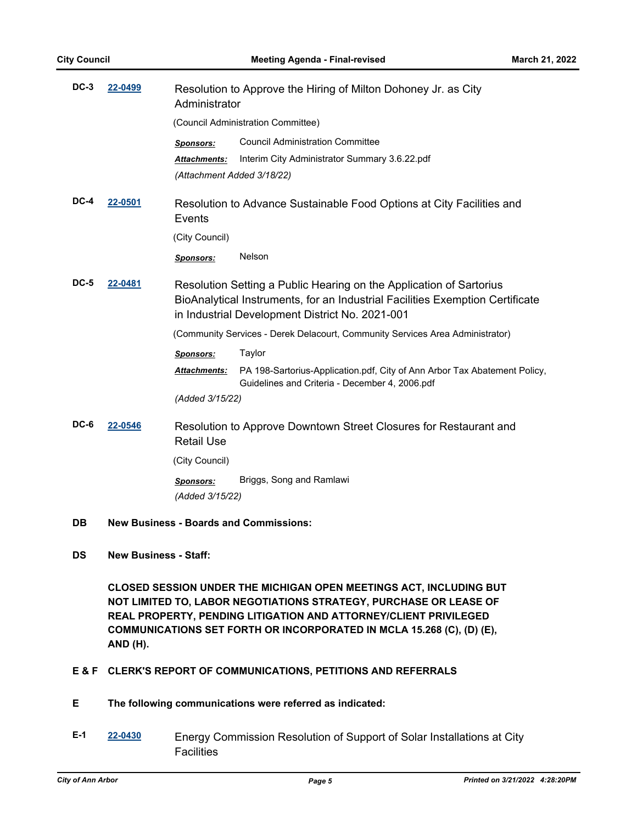| $DC-3$      | 22-0499 | Resolution to Approve the Hiring of Milton Dohoney Jr. as City<br>Administrator                                                                                                                         |                                                                                                                             |  |
|-------------|---------|---------------------------------------------------------------------------------------------------------------------------------------------------------------------------------------------------------|-----------------------------------------------------------------------------------------------------------------------------|--|
|             |         | (Council Administration Committee)                                                                                                                                                                      |                                                                                                                             |  |
|             |         | <b>Sponsors:</b>                                                                                                                                                                                        | <b>Council Administration Committee</b>                                                                                     |  |
|             |         | <b>Attachments:</b><br>(Attachment Added 3/18/22)                                                                                                                                                       | Interim City Administrator Summary 3.6.22.pdf                                                                               |  |
| DC-4        | 22-0501 | Resolution to Advance Sustainable Food Options at City Facilities and<br>Events                                                                                                                         |                                                                                                                             |  |
|             |         | (City Council)                                                                                                                                                                                          |                                                                                                                             |  |
|             |         | <b>Sponsors:</b>                                                                                                                                                                                        | Nelson                                                                                                                      |  |
| <b>DC-5</b> | 22-0481 | Resolution Setting a Public Hearing on the Application of Sartorius<br>BioAnalytical Instruments, for an Industrial Facilities Exemption Certificate<br>in Industrial Development District No. 2021-001 |                                                                                                                             |  |
|             |         | (Community Services - Derek Delacourt, Community Services Area Administrator)                                                                                                                           |                                                                                                                             |  |
|             |         | <b>Sponsors:</b>                                                                                                                                                                                        | Taylor                                                                                                                      |  |
|             |         | <b>Attachments:</b>                                                                                                                                                                                     | PA 198-Sartorius-Application.pdf, City of Ann Arbor Tax Abatement Policy,<br>Guidelines and Criteria - December 4, 2006.pdf |  |
|             |         | (Added 3/15/22)                                                                                                                                                                                         |                                                                                                                             |  |
| $DC-6$      | 22-0546 | Resolution to Approve Downtown Street Closures for Restaurant and<br><b>Retail Use</b>                                                                                                                  |                                                                                                                             |  |
|             |         | (City Council)                                                                                                                                                                                          |                                                                                                                             |  |
|             |         | <b>Sponsors:</b><br>(Added 3/15/22)                                                                                                                                                                     | Briggs, Song and Ramlawi                                                                                                    |  |
|             |         |                                                                                                                                                                                                         |                                                                                                                             |  |

- **DB New Business Boards and Commissions:**
- **DS New Business Staff:**

**CLOSED SESSION UNDER THE MICHIGAN OPEN MEETINGS ACT, INCLUDING BUT NOT LIMITED TO, LABOR NEGOTIATIONS STRATEGY, PURCHASE OR LEASE OF REAL PROPERTY, PENDING LITIGATION AND ATTORNEY/CLIENT PRIVILEGED COMMUNICATIONS SET FORTH OR INCORPORATED IN MCLA 15.268 (C), (D) (E), AND (H).**

## **E & F CLERK'S REPORT OF COMMUNICATIONS, PETITIONS AND REFERRALS**

- **E The following communications were referred as indicated:**
- **E-1 [22-0430](http://a2gov.legistar.com/gateway.aspx?M=L&ID=29614)** Energy Commission Resolution of Support of Solar Installations at City **Facilities**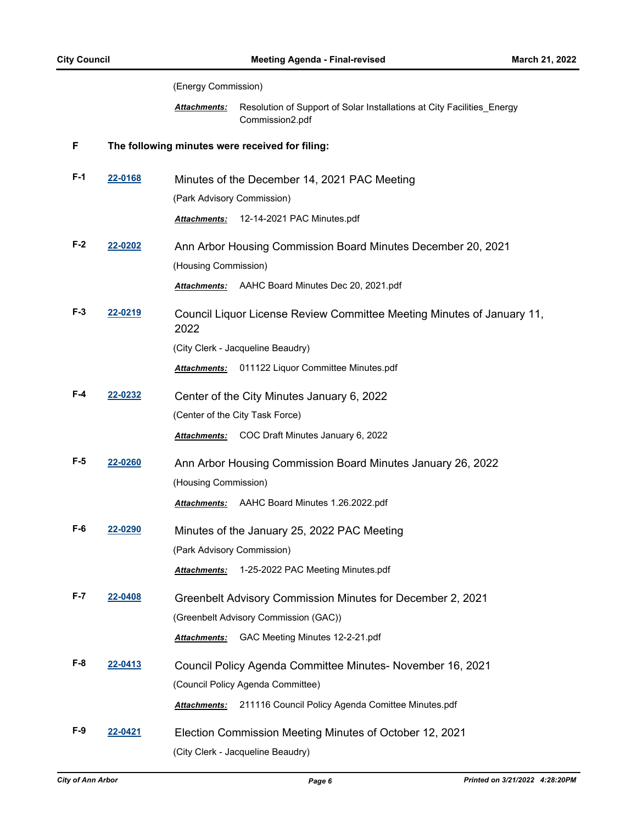(Energy Commission)

Resolution of Support of Solar Installations at City Facilities\_Energy Commission2.pdf *Attachments:*

#### **F The following minutes were received for filing:**

- **F-1 [22-0168](http://a2gov.legistar.com/gateway.aspx?M=L&ID=29359)** Minutes of the December 14, 2021 PAC Meeting (Park Advisory Commission) *Attachments:* 12-14-2021 PAC Minutes.pdf
- **F-2 [22-0202](http://a2gov.legistar.com/gateway.aspx?M=L&ID=29389)** Ann Arbor Housing Commission Board Minutes December 20, 2021 (Housing Commission)
	- *Attachments:* AAHC Board Minutes Dec 20, 2021.pdf
- **F-3 [22-0219](http://a2gov.legistar.com/gateway.aspx?M=L&ID=29406)** Council Liquor License Review Committee Meeting Minutes of January 11, 2022

(City Clerk - Jacqueline Beaudry)

*Attachments:* 011122 Liquor Committee Minutes.pdf

**F-4 [22-0232](http://a2gov.legistar.com/gateway.aspx?M=L&ID=29419)** Center of the City Minutes January 6, 2022 (Center of the City Task Force)

*Attachments:* COC Draft Minutes January 6, 2022

**F-5 [22-0260](http://a2gov.legistar.com/gateway.aspx?M=L&ID=29447)** Ann Arbor Housing Commission Board Minutes January 26, 2022 (Housing Commission)

*Attachments:* AAHC Board Minutes 1.26.2022.pdf

**F-6 [22-0290](http://a2gov.legistar.com/gateway.aspx?M=L&ID=29477)** Minutes of the January 25, 2022 PAC Meeting (Park Advisory Commission)

*Attachments:* 1-25-2022 PAC Meeting Minutes.pdf

**F-7 [22-0408](http://a2gov.legistar.com/gateway.aspx?M=L&ID=29592)** Greenbelt Advisory Commission Minutes for December 2, 2021 (Greenbelt Advisory Commission (GAC))

*Attachments:* GAC Meeting Minutes 12-2-21.pdf

**F-8 [22-0413](http://a2gov.legistar.com/gateway.aspx?M=L&ID=29597)** Council Policy Agenda Committee Minutes- November 16, 2021 (Council Policy Agenda Committee)

*Attachments:* 211116 Council Policy Agenda Comittee Minutes.pdf

**F-9 [22-0421](http://a2gov.legistar.com/gateway.aspx?M=L&ID=29605)** Election Commission Meeting Minutes of October 12, 2021 (City Clerk - Jacqueline Beaudry)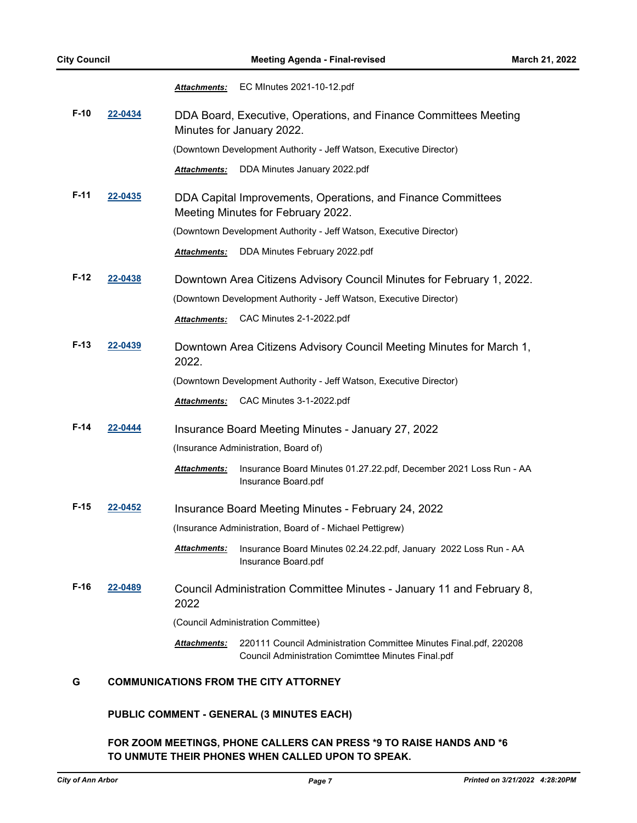*Attachments:* EC MInutes 2021-10-12.pdf

- **F-10 [22-0434](http://a2gov.legistar.com/gateway.aspx?M=L&ID=29618)** DDA Board, Executive, Operations, and Finance Committees Meeting Minutes for January 2022. (Downtown Development Authority - Jeff Watson, Executive Director) *Attachments:* DDA Minutes January 2022.pdf
- **F-11 [22-0435](http://a2gov.legistar.com/gateway.aspx?M=L&ID=29619)** DDA Capital Improvements, Operations, and Finance Committees Meeting Minutes for February 2022.
	- (Downtown Development Authority Jeff Watson, Executive Director)
		- *Attachments:* DDA Minutes February 2022.pdf
- **F-12 [22-0438](http://a2gov.legistar.com/gateway.aspx?M=L&ID=29622)** Downtown Area Citizens Advisory Council Minutes for February 1, 2022. (Downtown Development Authority - Jeff Watson, Executive Director) *Attachments:* CAC Minutes 2-1-2022.pdf
- **F-13 [22-0439](http://a2gov.legistar.com/gateway.aspx?M=L&ID=29623)** Downtown Area Citizens Advisory Council Meeting Minutes for March 1, 2022.
	- (Downtown Development Authority Jeff Watson, Executive Director)
	- *Attachments:* CAC Minutes 3-1-2022.pdf
- **F-14 [22-0444](http://a2gov.legistar.com/gateway.aspx?M=L&ID=29628)** Insurance Board Meeting Minutes January 27, 2022 (Insurance Administration, Board of)
	- Insurance Board Minutes 01.27.22.pdf, December 2021 Loss Run AA Insurance Board.pdf *Attachments:*
- **F-15 [22-0452](http://a2gov.legistar.com/gateway.aspx?M=L&ID=29636)** Insurance Board Meeting Minutes February 24, 2022 (Insurance Administration, Board of - Michael Pettigrew)
	- Insurance Board Minutes 02.24.22.pdf, January 2022 Loss Run AA Insurance Board.pdf *Attachments:*
- **F-16 [22-0489](http://a2gov.legistar.com/gateway.aspx?M=L&ID=29673)** Council Administration Committee Minutes January 11 and February 8, 2022
	- (Council Administration Committee)
	- Attachments: 220111 Council Administration Committee Minutes Final.pdf, 220208 Council Administration Comimttee Minutes Final.pdf

### **G COMMUNICATIONS FROM THE CITY ATTORNEY**

### **PUBLIC COMMENT - GENERAL (3 MINUTES EACH)**

## **FOR ZOOM MEETINGS, PHONE CALLERS CAN PRESS \*9 TO RAISE HANDS AND \*6 TO UNMUTE THEIR PHONES WHEN CALLED UPON TO SPEAK.**